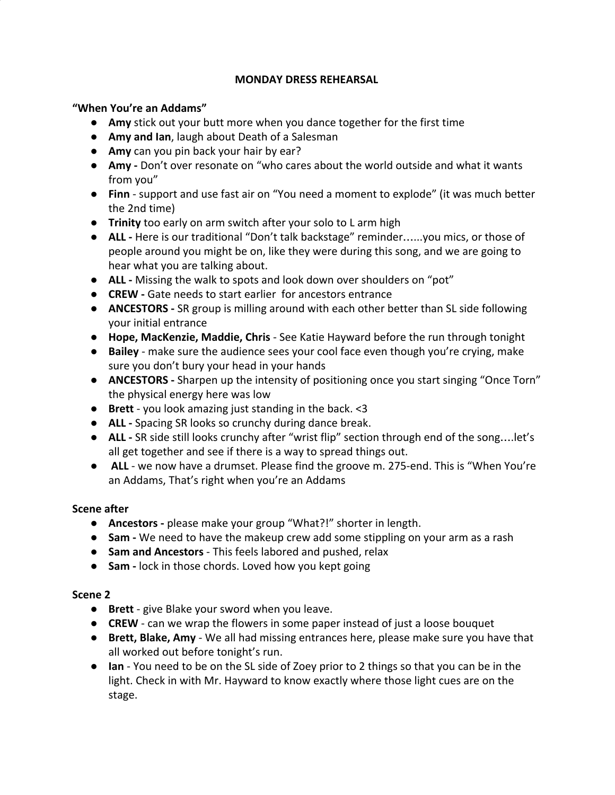### **MONDAY DRESS REHEARSAL**

### **"When You're an Addams"**

- **● Amy** stick out your butt more when you dance together for the first time
- **Amy and Ian**, laugh about Death of a Salesman
- **Amy** can you pin back your hair by ear?
- Amy Don't over resonate on "who cares about the world outside and what it wants from you"
- **Finn** support and use fast air on "You need a moment to explode" (it was much better the 2nd time)
- **Trinity** too early on arm switch after your solo to L arm high
- **ALL** Here is our traditional "Don't talk backstage" reminder…...you mics, or those of people around you might be on, like they were during this song, and we are going to hear what you are talking about.
- **ALL** Missing the walk to spots and look down over shoulders on "pot"
- **CREW** Gate needs to start earlier for ancestors entrance
- **ANCESTORS** SR group is milling around with each other better than SL side following your initial entrance
- **Hope, MacKenzie, Maddie, Chris** See Katie Hayward before the run through tonight
- **Bailey** make sure the audience sees your cool face even though you're crying, make sure you don't bury your head in your hands
- **ANCESTORS** Sharpen up the intensity of positioning once you start singing "Once Torn" the physical energy here was low
- **Brett** you look amazing just standing in the back. <3
- **ALL** Spacing SR looks so crunchy during dance break.
- **ALL** SR side still looks crunchy after "wrist flip" section through end of the song....let's all get together and see if there is a way to spread things out.
- **ALL** we now have a drumset. Please find the groove m. 275-end. This is "When You're an Addams, That's right when you're an Addams

## **Scene after**

- **Ancestors -** please make your group "What?!" shorter in length.
- **Sam -** We need to have the makeup crew add some stippling on your arm as a rash
- **Sam and Ancestors** This feels labored and pushed, relax
- **Sam** lock in those chords. Loved how you kept going

## **Scene 2**

- **Brett** give Blake your sword when you leave.
- **CREW** can we wrap the flowers in some paper instead of just a loose bouquet
- **● Brett, Blake, Amy** We all had missing entrances here, please make sure you have that all worked out before tonight's run.
- **Ian** You need to be on the SL side of Zoey prior to 2 things so that you can be in the light. Check in with Mr. Hayward to know exactly where those light cues are on the stage.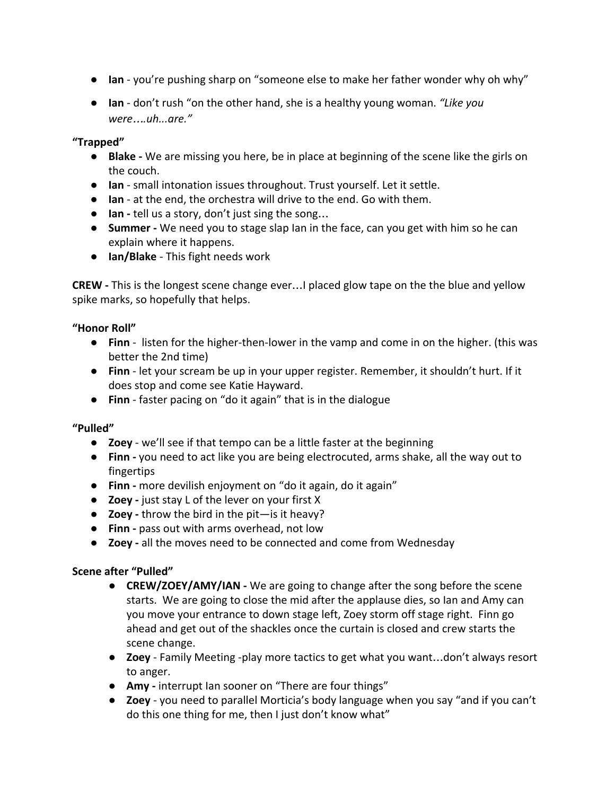- **Ian** you're pushing sharp on "someone else to make her father wonder why oh why"
- **Ian** don't rush "on the other hand, she is a healthy young woman. *"Like you were*…*.uh...are."*

### **"Trapped"**

- **● Blake** We are missing you here, be in place at beginning of the scene like the girls on the couch.
- **Ian** small intonation issues throughout. Trust yourself. Let it settle.
- **Ian** at the end, the orchestra will drive to the end. Go with them.
- **Ian -** tell us a story, don't just sing the song…
- **Summer -** We need you to stage slap Ian in the face, can you get with him so he can explain where it happens.
- **Ian/Blake**  This fight needs work

**CREW -** This is the longest scene change ever…I placed glow tape on the the blue and yellow spike marks, so hopefully that helps.

### **"Honor Roll"**

- **Finn** listen for the higher-then-lower in the vamp and come in on the higher. (this was better the 2nd time)
- **Finn** let your scream be up in your upper register. Remember, it shouldn't hurt. If it does stop and come see Katie Hayward.
- **Finn** faster pacing on "do it again" that is in the dialogue

## **"Pulled"**

- **Zoey** we'll see if that tempo can be a little faster at the beginning
- **Finn -** you need to act like you are being electrocuted, arms shake, all the way out to fingertips
- **Finn -** more devilish enjoyment on "do it again, do it again"
- **Zoey -** just stay L of the lever on your first X
- **Zoey -** throw the bird in the pit—is it heavy?
- **Finn -** pass out with arms overhead, not low
- **Zoey -** all the moves need to be connected and come from Wednesday

#### **Scene after "Pulled"**

- **CREW/ZOEY/AMY/IAN** We are going to change after the song before the scene starts. We are going to close the mid after the applause dies, so Ian and Amy can you move your entrance to down stage left, Zoey storm off stage right. Finn go ahead and get out of the shackles once the curtain is closed and crew starts the scene change.
- **Zoey** Family Meeting -play more tactics to get what you want…don't always resort to anger.
- **Amy -** interrupt Ian sooner on "There are four things"
- **Zoey** you need to parallel Morticia's body language when you say "and if you can't do this one thing for me, then I just don't know what"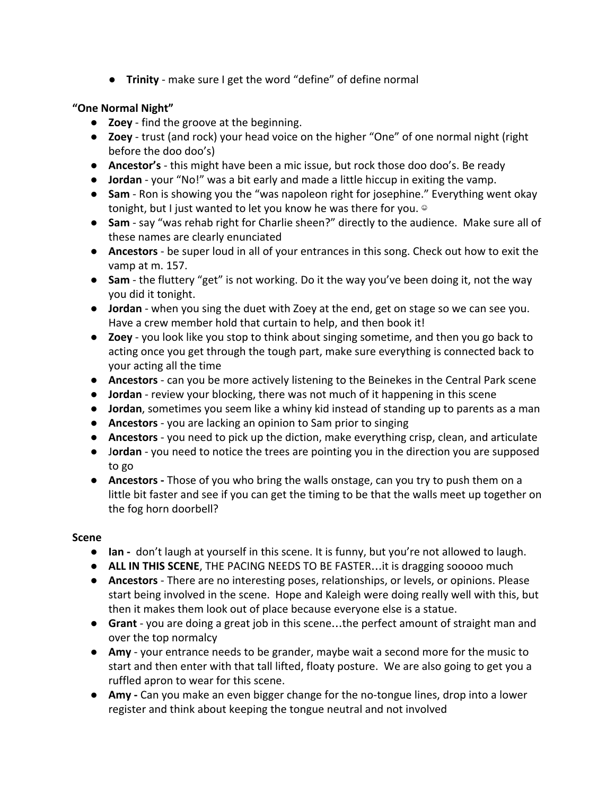● **Trinity** - make sure I get the word "define" of define normal

# **"One Normal Night"**

- **Zoey** find the groove at the beginning.
- **Zoey** trust (and rock) your head voice on the higher "One" of one normal night (right before the doo doo's)
- **Ancestor's** this might have been a mic issue, but rock those doo doo's. Be ready
- **Jordan** your "No!" was a bit early and made a little hiccup in exiting the vamp.
- **Sam** Ron is showing you the "was napoleon right for josephine." Everything went okay tonight, but I just wanted to let you know he was there for you. ©
- **Sam** say "was rehab right for Charlie sheen?" directly to the audience. Make sure all of these names are clearly enunciated
- **Ancestors** be super loud in all of your entrances in this song. Check out how to exit the vamp at m. 157.
- **Sam** the fluttery "get" is not working. Do it the way you've been doing it, not the way you did it tonight.
- **Jordan** when you sing the duet with Zoey at the end, get on stage so we can see you. Have a crew member hold that curtain to help, and then book it!
- **Zoey** you look like you stop to think about singing sometime, and then you go back to acting once you get through the tough part, make sure everything is connected back to your acting all the time
- **Ancestors** can you be more actively listening to the Beinekes in the Central Park scene
- **Jordan** review your blocking, there was not much of it happening in this scene
- **Jordan**, sometimes you seem like a whiny kid instead of standing up to parents as a man
- **Ancestors** you are lacking an opinion to Sam prior to singing
- **Ancestors** you need to pick up the diction, make everything crisp, clean, and articulate
- J**ordan** you need to notice the trees are pointing you in the direction you are supposed to go
- **Ancestors** Those of you who bring the walls onstage, can you try to push them on a little bit faster and see if you can get the timing to be that the walls meet up together on the fog horn doorbell?

## **Scene**

- **Ian** don't laugh at yourself in this scene. It is funny, but you're not allowed to laugh.
- **ALL IN THIS SCENE**, THE PACING NEEDS TO BE FASTER…it is dragging sooooo much
- **Ancestors** There are no interesting poses, relationships, or levels, or opinions. Please start being involved in the scene. Hope and Kaleigh were doing really well with this, but then it makes them look out of place because everyone else is a statue.
- **Grant** you are doing a great job in this scene…the perfect amount of straight man and over the top normalcy
- **Amy** your entrance needs to be grander, maybe wait a second more for the music to start and then enter with that tall lifted, floaty posture. We are also going to get you a ruffled apron to wear for this scene.
- Amy Can you make an even bigger change for the no-tongue lines, drop into a lower register and think about keeping the tongue neutral and not involved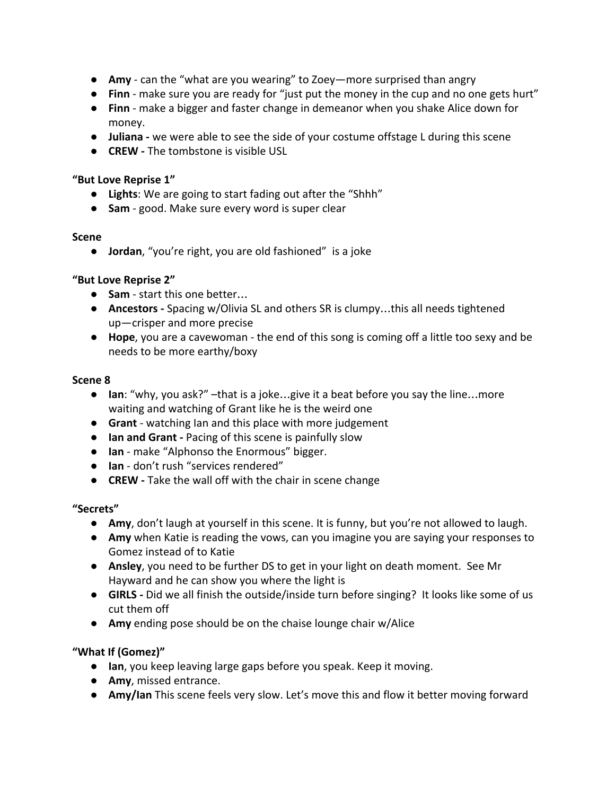- Amy can the "what are you wearing" to Zoey—more surprised than angry
- **Finn** make sure you are ready for "just put the money in the cup and no one gets hurt"
- **Finn** make a bigger and faster change in demeanor when you shake Alice down for money.
- **Juliana -** we were able to see the side of your costume offstage L during this scene
- **CREW** The tombstone is visible USL

### **"But Love Reprise 1"**

- **Lights**: We are going to start fading out after the "Shhh"
- **Sam** good. Make sure every word is super clear

### **Scene**

● **Jordan**, "you're right, you are old fashioned" is a joke

## **"But Love Reprise 2"**

- **Sam** start this one better…
- **Ancestors** Spacing w/Olivia SL and others SR is clumpy…this all needs tightened up—crisper and more precise
- **Hope**, you are a cavewoman the end of this song is coming off a little too sexy and be needs to be more earthy/boxy

## **Scene 8**

- **Ian**: "why, you ask?" –that is a joke…give it a beat before you say the line…more waiting and watching of Grant like he is the weird one
- **Grant** watching Ian and this place with more judgement
- **Ian and Grant** Pacing of this scene is painfully slow
- **Ian** make "Alphonso the Enormous" bigger.
- **Ian** don't rush "services rendered"
- **CREW** Take the wall off with the chair in scene change

## **"Secrets"**

- **Amy**, don't laugh at yourself in this scene. It is funny, but you're not allowed to laugh.
- **Amy** when Katie is reading the vows, can you imagine you are saying your responses to Gomez instead of to Katie
- **Ansley**, you need to be further DS to get in your light on death moment. See Mr Hayward and he can show you where the light is
- **GIRLS** Did we all finish the outside/inside turn before singing? It looks like some of us cut them off
- **Amy** ending pose should be on the chaise lounge chair w/Alice

# **"What If (Gomez)"**

- **Ian**, you keep leaving large gaps before you speak. Keep it moving.
- **Amy**, missed entrance.
- **Amy/Ian** This scene feels very slow. Let's move this and flow it better moving forward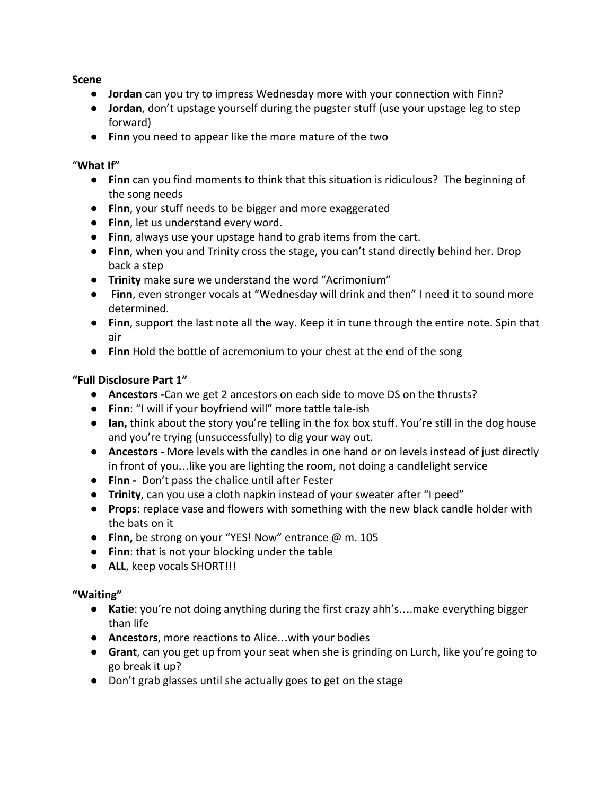**Scene**

- **Jordan** can you try to impress Wednesday more with your connection with Finn?
- **Jordan**, don't upstage yourself during the pugster stuff (use your upstage leg to step forward)
- **Finn** you need to appear like the more mature of the two

## "**What If"**

- **Finn** can you find moments to think that this situation is ridiculous? The beginning of the song needs
- **Finn**, your stuff needs to be bigger and more exaggerated
- **Finn**, let us understand every word.
- **Finn**, always use your upstage hand to grab items from the cart.
- **Finn**, when you and Trinity cross the stage, you can't stand directly behind her. Drop back a step
- **Trinity** make sure we understand the word "Acrimonium"
- **Finn**, even stronger vocals at "Wednesday will drink and then" I need it to sound more determined.
- **Finn**, support the last note all the way. Keep it in tune through the entire note. Spin that air
- **Finn** Hold the bottle of acremonium to your chest at the end of the song

# **"Full Disclosure Part 1"**

- **Ancestors -**Can we get 2 ancestors on each side to move DS on the thrusts?
- **Finn**: "I will if your boyfriend will" more tattle tale-ish
- **Ian,** think about the story you're telling in the fox box stuff. You're still in the dog house and you're trying (unsuccessfully) to dig your way out.
- **Ancestors** More levels with the candles in one hand or on levels instead of just directly in front of you…like you are lighting the room, not doing a candlelight service
- **Finn -** Don't pass the chalice until after Fester
- **Trinity**, can you use a cloth napkin instead of your sweater after "I peed"
- **Props**: replace vase and flowers with something with the new black candle holder with the bats on it
- **Finn,** be strong on your "YES! Now" entrance @ m. 105
- **Finn**: that is not your blocking under the table
- **ALL**, keep vocals SHORT!!!

# **"Waiting"**

- **Katie**: you're not doing anything during the first crazy ahh's….make everything bigger than life
- **Ancestors**, more reactions to Alice…with your bodies
- **Grant**, can you get up from your seat when she is grinding on Lurch, like you're going to go break it up?
- Don't grab glasses until she actually goes to get on the stage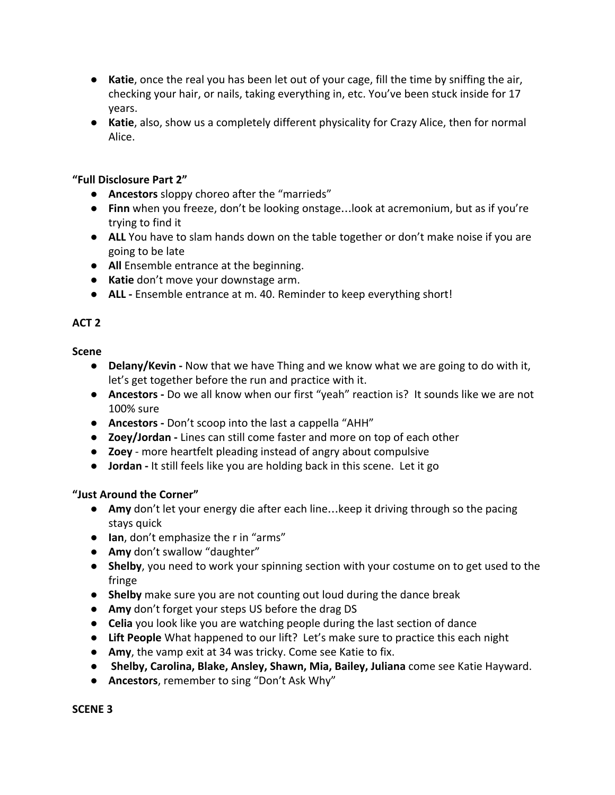- **Katie**, once the real you has been let out of your cage, fill the time by sniffing the air, checking your hair, or nails, taking everything in, etc. You've been stuck inside for 17 years.
- **Katie**, also, show us a completely different physicality for Crazy Alice, then for normal Alice.

### **"Full Disclosure Part 2"**

- **Ancestors** sloppy choreo after the "marrieds"
- **Finn** when you freeze, don't be looking onstage...look at acremonium, but as if you're trying to find it
- **ALL** You have to slam hands down on the table together or don't make noise if you are going to be late
- **All** Ensemble entrance at the beginning.
- **Katie** don't move your downstage arm.
- **ALL** Ensemble entrance at m. 40. Reminder to keep everything short!

# **ACT 2**

### **Scene**

- **● Delany/Kevin** Now that we have Thing and we know what we are going to do with it, let's get together before the run and practice with it.
- **Ancestors** Do we all know when our first "yeah" reaction is? It sounds like we are not 100% sure
- **● Ancestors** Don't scoop into the last a cappella "AHH"
- **Zoey/Jordan** Lines can still come faster and more on top of each other
- **Zoey** more heartfelt pleading instead of angry about compulsive
- **Jordan** It still feels like you are holding back in this scene. Let it go

## **"Just Around the Corner"**

- Amy don't let your energy die after each line...keep it driving through so the pacing stays quick
- **Ian**, don't emphasize the r in "arms"
- **Amy** don't swallow "daughter"
- **Shelby**, you need to work your spinning section with your costume on to get used to the fringe
- **Shelby** make sure you are not counting out loud during the dance break
- **Amy** don't forget your steps US before the drag DS
- **Celia** you look like you are watching people during the last section of dance
- **Lift People** What happened to our lift? Let's make sure to practice this each night
- **Amy**, the vamp exit at 34 was tricky. Come see Katie to fix.
- **Shelby, Carolina, Blake, Ansley, Shawn, Mia, Bailey, Juliana** come see Katie Hayward.
- **Ancestors**, remember to sing "Don't Ask Why"

#### **SCENE 3**